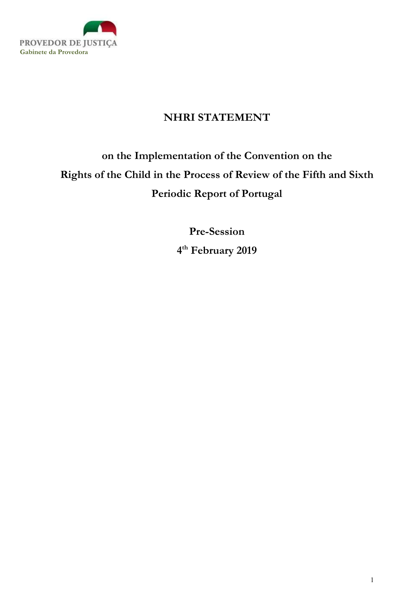

## NHRI STATEMENT

## on the Implementation of the Convention on the Rights of the Child in the Process of Review of the Fifth and Sixth Periodic Report of Portugal

Pre-Session 4 th February 2019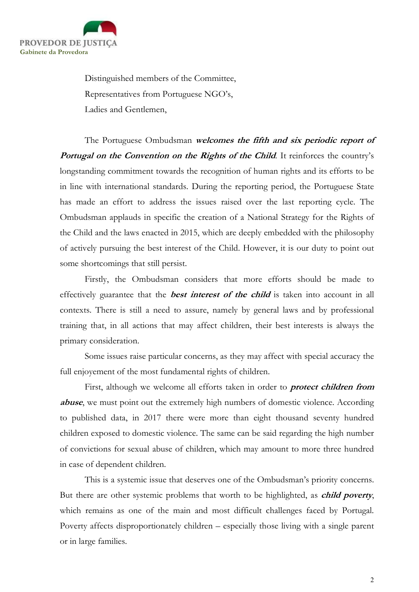

 Distinguished members of the Committee, Representatives from Portuguese NGO's, Ladies and Gentlemen,

The Portuguese Ombudsman welcomes the fifth and six periodic report of Portugal on the Convention on the Rights of the Child. It reinforces the country's longstanding commitment towards the recognition of human rights and its efforts to be in line with international standards. During the reporting period, the Portuguese State has made an effort to address the issues raised over the last reporting cycle. The Ombudsman applauds in specific the creation of a National Strategy for the Rights of the Child and the laws enacted in 2015, which are deeply embedded with the philosophy of actively pursuing the best interest of the Child. However, it is our duty to point out some shortcomings that still persist.

Firstly, the Ombudsman considers that more efforts should be made to effectively guarantee that the **best interest of the child** is taken into account in all contexts. There is still a need to assure, namely by general laws and by professional training that, in all actions that may affect children, their best interests is always the primary consideration.

Some issues raise particular concerns, as they may affect with special accuracy the full enjoyement of the most fundamental rights of children.

First, although we welcome all efforts taken in order to *protect children from* abuse, we must point out the extremely high numbers of domestic violence. According to published data, in 2017 there were more than eight thousand seventy hundred children exposed to domestic violence. The same can be said regarding the high number of convictions for sexual abuse of children, which may amount to more three hundred in case of dependent children.

This is a systemic issue that deserves one of the Ombudsman's priority concerns. But there are other systemic problems that worth to be highlighted, as *child poverty*, which remains as one of the main and most difficult challenges faced by Portugal. Poverty affects disproportionately children – especially those living with a single parent or in large families.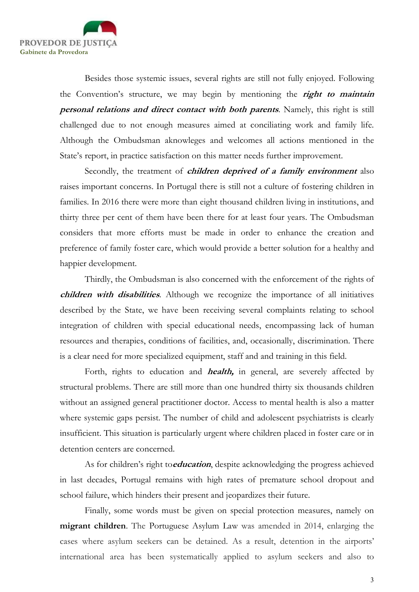

Besides those systemic issues, several rights are still not fully enjoyed. Following the Convention's structure, we may begin by mentioning the right to maintain personal relations and direct contact with both parents. Namely, this right is still challenged due to not enough measures aimed at conciliating work and family life. Although the Ombudsman aknowleges and welcomes all actions mentioned in the State's report, in practice satisfaction on this matter needs further improvement.

Secondly, the treatment of *children deprived of a family environment* also raises important concerns. In Portugal there is still not a culture of fostering children in families. In 2016 there were more than eight thousand children living in institutions, and thirty three per cent of them have been there for at least four years. The Ombudsman considers that more efforts must be made in order to enhance the creation and preference of family foster care, which would provide a better solution for a healthy and happier development.

Thirdly, the Ombudsman is also concerned with the enforcement of the rights of children with disabilities. Although we recognize the importance of all initiatives described by the State, we have been receiving several complaints relating to school integration of children with special educational needs, encompassing lack of human resources and therapies, conditions of facilities, and, occasionally, discrimination. There is a clear need for more specialized equipment, staff and and training in this field.

Forth, rights to education and *health*, in general, are severely affected by structural problems. There are still more than one hundred thirty six thousands children without an assigned general practitioner doctor. Access to mental health is also a matter where systemic gaps persist. The number of child and adolescent psychiatrists is clearly insufficient. This situation is particularly urgent where children placed in foster care or in detention centers are concerned.

As for children's right toeducation, despite acknowledging the progress achieved in last decades, Portugal remains with high rates of premature school dropout and school failure, which hinders their present and jeopardizes their future.

Finally, some words must be given on special protection measures, namely on migrant children. The Portuguese Asylum Law was amended in 2014, enlarging the cases where asylum seekers can be detained. As a result, detention in the airports' international area has been systematically applied to asylum seekers and also to